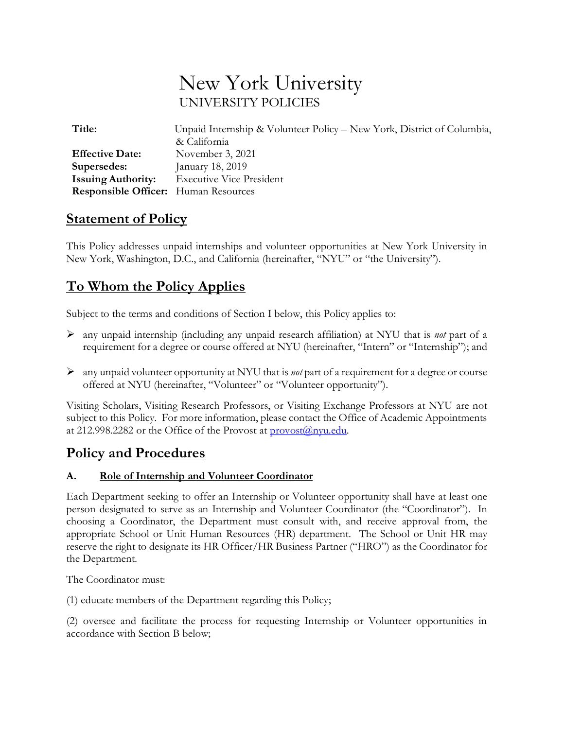# New York University UNIVERSITY POLICIES

| Title:                                      | Unpaid Internship & Volunteer Policy – New York, District of Columbia, |
|---------------------------------------------|------------------------------------------------------------------------|
|                                             | & California                                                           |
| <b>Effective Date:</b>                      | November 3, 2021                                                       |
| Supersedes:                                 | January 18, 2019                                                       |
| <b>Issuing Authority:</b>                   | <b>Executive Vice President</b>                                        |
| <b>Responsible Officer:</b> Human Resources |                                                                        |

# **Statement of Policy**

This Policy addresses unpaid internships and volunteer opportunities at New York University in New York, Washington, D.C., and California (hereinafter, "NYU" or "the University").

# **To Whom the Policy Applies**

Subject to the terms and conditions of Section I below, this Policy applies to:

- ➢ any unpaid internship (including any unpaid research affiliation) at NYU that is *not* part of a requirement for a degree or course offered at NYU (hereinafter, "Intern" or "Internship"); and
- ➢ any unpaid volunteer opportunity at NYU that is *not* part of a requirement for a degree or course offered at NYU (hereinafter, "Volunteer" or "Volunteer opportunity").

Visiting Scholars, Visiting Research Professors, or Visiting Exchange Professors at NYU are not subject to this Policy. For more information, please contact the Office of Academic Appointments at 212.998.2282 or the Office of the Provost at  $\frac{\text{provost}(a)}{\text{nyu.edu}}$ .

# **Policy and Procedures**

### **A. Role of Internship and Volunteer Coordinator**

Each Department seeking to offer an Internship or Volunteer opportunity shall have at least one person designated to serve as an Internship and Volunteer Coordinator (the "Coordinator"). In choosing a Coordinator, the Department must consult with, and receive approval from, the appropriate School or Unit Human Resources (HR) department. The School or Unit HR may reserve the right to designate its HR Officer/HR Business Partner ("HRO") as the Coordinator for the Department.

The Coordinator must:

(1) educate members of the Department regarding this Policy;

(2) oversee and facilitate the process for requesting Internship or Volunteer opportunities in accordance with Section B below;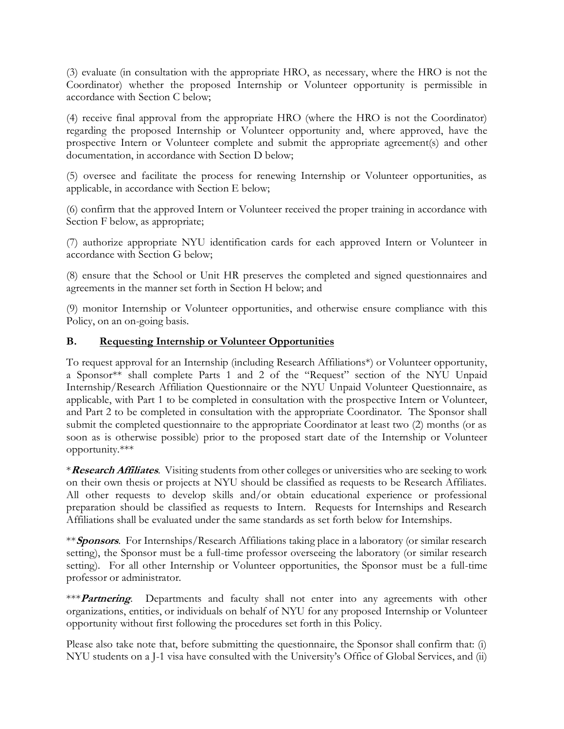(3) evaluate (in consultation with the appropriate HRO, as necessary, where the HRO is not the Coordinator) whether the proposed Internship or Volunteer opportunity is permissible in accordance with Section C below;

(4) receive final approval from the appropriate HRO (where the HRO is not the Coordinator) regarding the proposed Internship or Volunteer opportunity and, where approved, have the prospective Intern or Volunteer complete and submit the appropriate agreement(s) and other documentation, in accordance with Section D below;

(5) oversee and facilitate the process for renewing Internship or Volunteer opportunities, as applicable, in accordance with Section E below;

(6) confirm that the approved Intern or Volunteer received the proper training in accordance with Section F below, as appropriate;

(7) authorize appropriate NYU identification cards for each approved Intern or Volunteer in accordance with Section G below;

(8) ensure that the School or Unit HR preserves the completed and signed questionnaires and agreements in the manner set forth in Section H below; and

(9) monitor Internship or Volunteer opportunities, and otherwise ensure compliance with this Policy, on an on-going basis.

#### **B. Requesting Internship or Volunteer Opportunities**

To request approval for an Internship (including Research Affiliations\*) or Volunteer opportunity, a Sponsor\*\* shall complete Parts 1 and 2 of the "Request" section of the NYU Unpaid Internship/Research Affiliation Questionnaire or the NYU Unpaid Volunteer Questionnaire, as applicable, with Part 1 to be completed in consultation with the prospective Intern or Volunteer, and Part 2 to be completed in consultation with the appropriate Coordinator. The Sponsor shall submit the completed questionnaire to the appropriate Coordinator at least two (2) months (or as soon as is otherwise possible) prior to the proposed start date of the Internship or Volunteer opportunity.\*\*\*

\***Research Affiliates**. Visiting students from other colleges or universities who are seeking to work on their own thesis or projects at NYU should be classified as requests to be Research Affiliates. All other requests to develop skills and/or obtain educational experience or professional preparation should be classified as requests to Intern. Requests for Internships and Research Affiliations shall be evaluated under the same standards as set forth below for Internships.

\*\***Sponsors**. For Internships/Research Affiliations taking place in a laboratory (or similar research setting), the Sponsor must be a full-time professor overseeing the laboratory (or similar research setting). For all other Internship or Volunteer opportunities, the Sponsor must be a full-time professor or administrator.

\*\*\***Partnering**. Departments and faculty shall not enter into any agreements with other organizations, entities, or individuals on behalf of NYU for any proposed Internship or Volunteer opportunity without first following the procedures set forth in this Policy.

Please also take note that, before submitting the questionnaire, the Sponsor shall confirm that: (i) NYU students on a J-1 visa have consulted with the University's Office of Global Services, and (ii)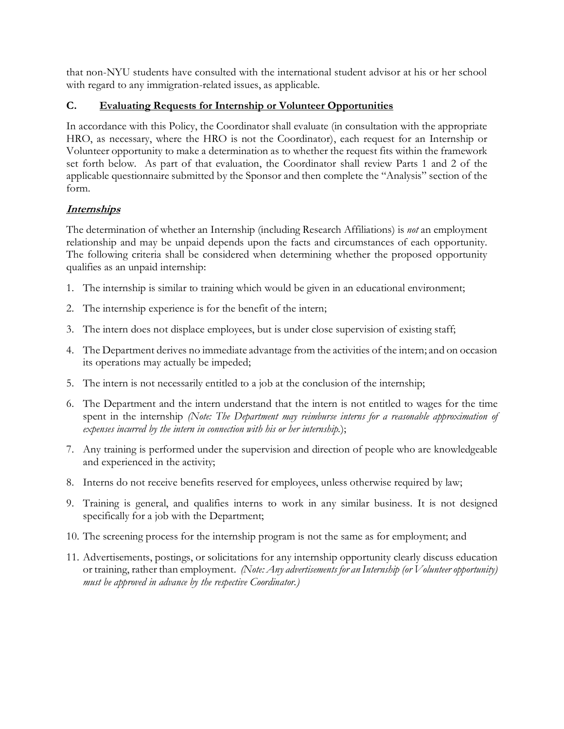that non-NYU students have consulted with the international student advisor at his or her school with regard to any immigration-related issues, as applicable.

### **C. Evaluating Requests for Internship or Volunteer Opportunities**

In accordance with this Policy, the Coordinator shall evaluate (in consultation with the appropriate HRO, as necessary, where the HRO is not the Coordinator), each request for an Internship or Volunteer opportunity to make a determination as to whether the request fits within the framework set forth below. As part of that evaluation, the Coordinator shall review Parts 1 and 2 of the applicable questionnaire submitted by the Sponsor and then complete the "Analysis" section of the form.

# **Internships**

The determination of whether an Internship (including Research Affiliations) is *not* an employment relationship and may be unpaid depends upon the facts and circumstances of each opportunity. The following criteria shall be considered when determining whether the proposed opportunity qualifies as an unpaid internship:

- 1. The internship is similar to training which would be given in an educational environment;
- 2. The internship experience is for the benefit of the intern;
- 3. The intern does not displace employees, but is under close supervision of existing staff;
- 4. The Department derives no immediate advantage from the activities of the intern; and on occasion its operations may actually be impeded;
- 5. The intern is not necessarily entitled to a job at the conclusion of the internship;
- 6. The Department and the intern understand that the intern is not entitled to wages for the time spent in the internship *(Note: The Department may reimburse interns for a reasonable approximation of expenses incurred by the intern in connection with his or her internship.*);
- 7. Any training is performed under the supervision and direction of people who are knowledgeable and experienced in the activity;
- 8. Interns do not receive benefits reserved for employees, unless otherwise required by law;
- 9. Training is general, and qualifies interns to work in any similar business. It is not designed specifically for a job with the Department;
- 10. The screening process for the internship program is not the same as for employment; and
- 11. Advertisements, postings, or solicitations for any internship opportunity clearly discuss education or training, rather than employment. *(Note: Any advertisements for an Internship (or Volunteer opportunity) must be approved in advance by the respective Coordinator.)*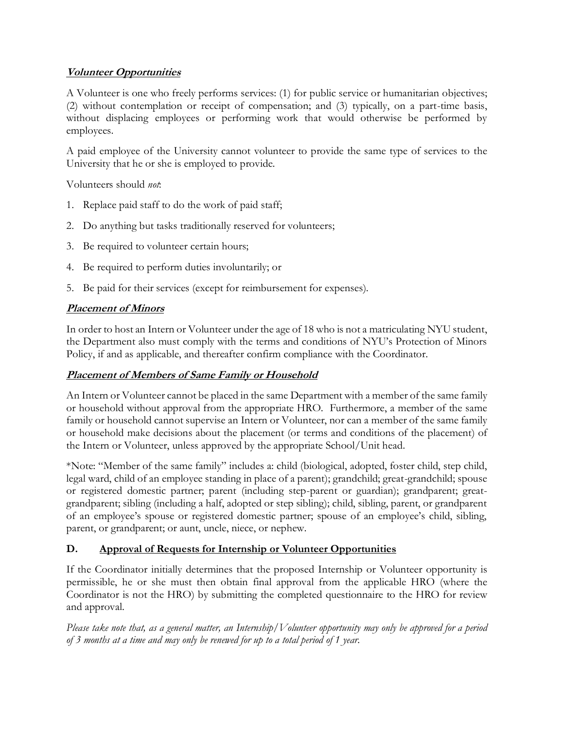# **Volunteer Opportunities**

A Volunteer is one who freely performs services: (1) for public service or humanitarian objectives; (2) without contemplation or receipt of compensation; and (3) typically, on a part-time basis, without displacing employees or performing work that would otherwise be performed by employees.

A paid employee of the University cannot volunteer to provide the same type of services to the University that he or she is employed to provide.

Volunteers should *not*:

- 1. Replace paid staff to do the work of paid staff;
- 2. Do anything but tasks traditionally reserved for volunteers;
- 3. Be required to volunteer certain hours;
- 4. Be required to perform duties involuntarily; or
- 5. Be paid for their services (except for reimbursement for expenses).

# **Placement of Minors**

In order to host an Intern or Volunteer under the age of 18 who is not a matriculating NYU student, the Department also must comply with the terms and conditions of NYU's Protection of Minors Policy, if and as applicable, and thereafter confirm compliance with the Coordinator.

### **Placement of Members of Same Family or Household**

An Intern or Volunteer cannot be placed in the same Department with a member of the same family or household without approval from the appropriate HRO. Furthermore, a member of the same family or household cannot supervise an Intern or Volunteer, nor can a member of the same family or household make decisions about the placement (or terms and conditions of the placement) of the Intern or Volunteer, unless approved by the appropriate School/Unit head.

\*Note: "Member of the same family" includes a: child (biological, adopted, foster child, step child, legal ward, child of an employee standing in place of a parent); grandchild; great-grandchild; spouse or registered domestic partner; parent (including step-parent or guardian); grandparent; greatgrandparent; sibling (including a half, adopted or step sibling); child, sibling, parent, or grandparent of an employee's spouse or registered domestic partner; spouse of an employee's child, sibling, parent, or grandparent; or aunt, uncle, niece, or nephew.

# **D. Approval of Requests for Internship or Volunteer Opportunities**

If the Coordinator initially determines that the proposed Internship or Volunteer opportunity is permissible, he or she must then obtain final approval from the applicable HRO (where the Coordinator is not the HRO) by submitting the completed questionnaire to the HRO for review and approval.

Please take note that, as a general matter, an Internship/ $V$ olunteer opportunity may only be approved for a period *of 3 months at a time and may only be renewed for up to a total period of 1 year.*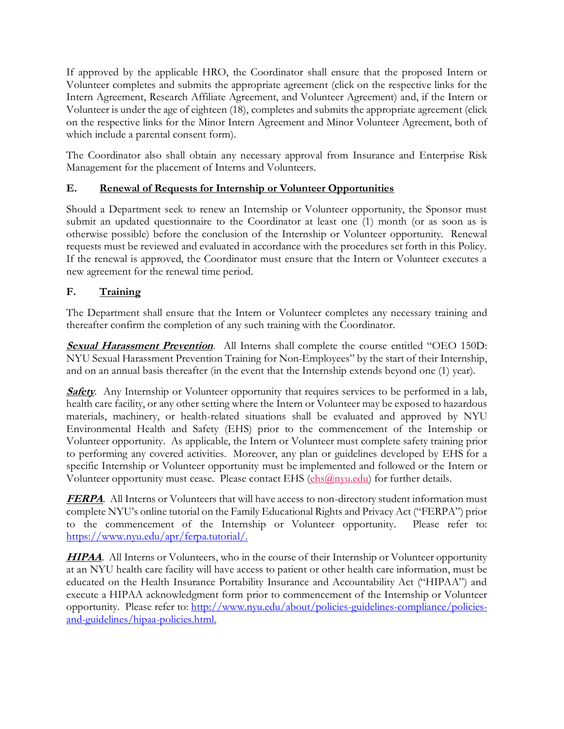If approved by the applicable HRO, the Coordinator shall ensure that the proposed Intern or Volunteer completes and submits the appropriate agreement (click on the respective links for the Intern Agreement, Research Affiliate Agreement, and Volunteer Agreement) and, if the Intern or Volunteer is under the age of eighteen (18), completes and submits the appropriate agreement (click on the respective links for the Minor Intern Agreement and Minor Volunteer Agreement, both of which include a parental consent form).

The Coordinator also shall obtain any necessary approval from Insurance and Enterprise Risk Management for the placement of Interns and Volunteers.

# **E. Renewal of Requests for Internship or Volunteer Opportunities**

Should a Department seek to renew an Internship or Volunteer opportunity, the Sponsor must submit an updated questionnaire to the Coordinator at least one (1) month (or as soon as is otherwise possible) before the conclusion of the Internship or Volunteer opportunity. Renewal requests must be reviewed and evaluated in accordance with the procedures set forth in this Policy. If the renewal is approved, the Coordinator must ensure that the Intern or Volunteer executes a new agreement for the renewal time period.

# **F. Training**

The Department shall ensure that the Intern or Volunteer completes any necessary training and thereafter confirm the completion of any such training with the Coordinator.

**Sexual Harassment Prevention**. All Interns shall complete the course entitled "OEO 150D: NYU Sexual Harassment Prevention Training for Non-Employees" by the start of their Internship, and on an annual basis thereafter (in the event that the Internship extends beyond one (1) year).

**Safety**. Any Internship or Volunteer opportunity that requires services to be performed in a lab, health care facility, or any other setting where the Intern or Volunteer may be exposed to hazardous materials, machinery, or health-related situations shall be evaluated and approved by NYU Environmental Health and Safety (EHS) prior to the commencement of the Internship or Volunteer opportunity. As applicable, the Intern or Volunteer must complete safety training prior to performing any covered activities. Moreover, any plan or guidelines developed by EHS for a specific Internship or Volunteer opportunity must be implemented and followed or the Intern or Volunteer opportunity must cease. Please contact EHS [\(ehs@nyu.edu\)](mailto:ehs@nyu.edu) for further details.

**FERPA**. All Interns or Volunteers that will have access to non-directory student information must complete NYU's online tutorial on the Family Educational Rights and Privacy Act ("FERPA") prior to the commencement of the Internship or Volunteer opportunity. Please refer to: [https://www.nyu.edu/apr/ferpa.tutorial/.](https://www.nyu.edu/apr/ferpa.tutorial/)

**HIPAA**. All Interns or Volunteers, who in the course of their Internship or Volunteer opportunity at an NYU health care facility will have access to patient or other health care information, must be educated on the Health Insurance Portability Insurance and Accountability Act ("HIPAA") and execute a HIPAA acknowledgment form prior to commencement of the Internship or Volunteer opportunity. Please refer to: [http://www.nyu.edu/about/policies-guidelines-compliance/policies](http://www.nyu.edu/about/policies-guidelines-compliance/policies-and-guidelines/hipaa-policies.html)[and-guidelines/hipaa-policies.html.](http://www.nyu.edu/about/policies-guidelines-compliance/policies-and-guidelines/hipaa-policies.html)